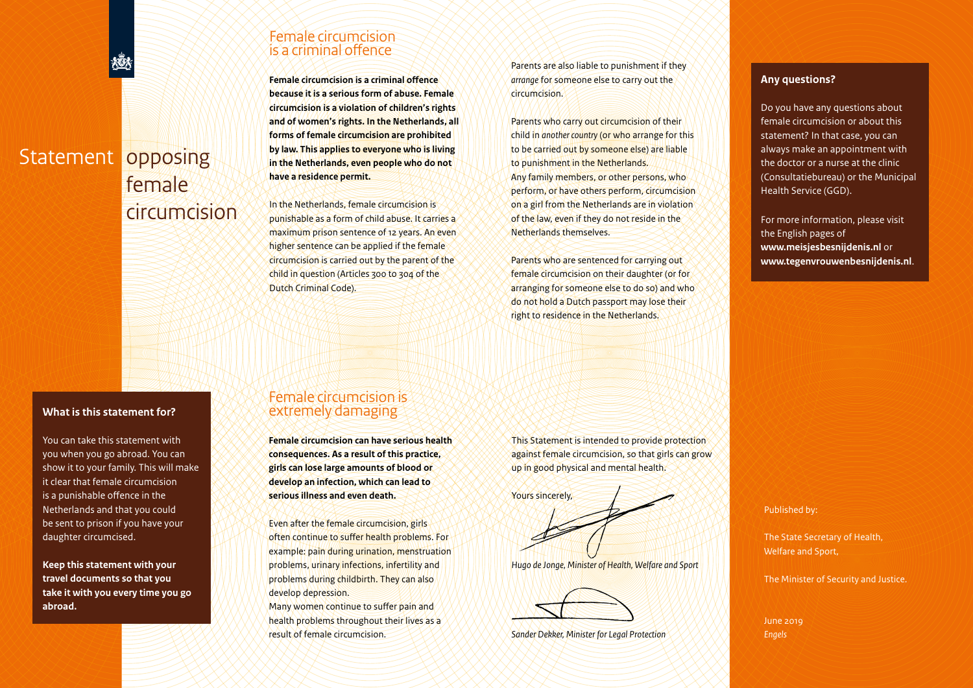# Statement opposing female circumcision

#### **What is this statement for?**

You can take this statement with you when you go abroad. You can show it to your family. This will make it clear that female circumcision is a punishable offence in the Netherlands and that you could be sent to prison if you have your daughter circumcised.

**Keep this statement with your travel documents so that you take it with you every time you go abroad.**

### Female circumcision is a criminal offence

**Female circumcision is a criminal offence because it is a serious form of abuse. Female circumcision is a violation of children's rights and of women's rights. In the Netherlands, all forms of female circumcision are prohibited by law. This applies to everyone who is living in the Netherlands, even people who do not have a residence permit.**

In the Netherlands, female circumcision is punishable as a form of child abuse. It carries a maximum prison sentence of 12 years. An even higher sentence can be applied if the female circumcision is carried out by the parent of the child in question (Articles 300 to 304 of the Dutch Criminal Code).

Female circumcision is extremely damaging

**Female circumcision can have serious health consequences. As a result of this practice, girls can lose large amounts of blood or develop an infection, which can lead to serious illness and even death.**

Even after the female circumcision, girls often continue to suffer health problems. For example: pain during urination, menstruation problems, urinary infections, infertility and problems during childbirth. They can also

Many women continue to suffer pain and health problems throughout their lives as a

develop depression.

result of female circumcision.

Parents are also liable to punishment if they *arrange* for someone else to carry out the circumcision.

Parents who carry out circumcision of their child in *another country* (or who arrange for this to be carried out by someone else) are liable to punishment in the Netherlands. Any family members, or other persons, who perform, or have others perform, circumcision on a girl from the Netherlands are in violation of the law, even if they do not reside in the Netherlands themselves.

Parents who are sentenced for carrying out female circumcision on their daughter (or for arranging for someone else to do so) and who do not hold a Dutch passport may lose their right to residence in the Netherlands.

This Statement is intended to provide protection against female circumcision, so that girls can grow up in good physical and mental health.

Yours sincerely,

*Hugo de Jonge, Minister of Health, Welfare and Sport*



*Sander Dekker, Minister for Legal Protection*

#### **Any questions?**

Do you have any questions about female circumcision or about this statement? In that case, you can always make an appointment with the doctor or a nurse at the clinic (Consultatiebureau) or the Municipal Health Service (GGD).

For more information, please visit the English pages of **www.meisjesbesnijdenis.nl** or **www.tegenvrouwenbesnijdenis.nl**.

Published by:

The State Secretary of Health, Welfare and Sport,

The Minister of Security and Justice.

June 2019 *Engels*